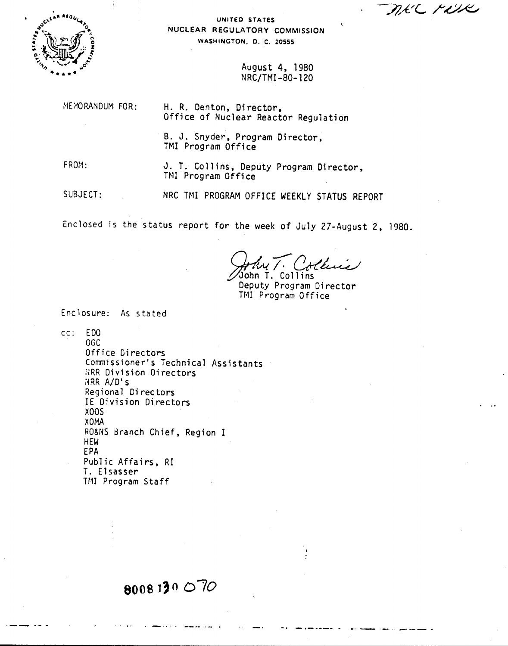DEC FILE



UNITED STATES NUCLEAR REGULATORY COMMISSION WASHINGTON. D. C. 20555

> August 4. 1980 N RC/TMI -80- 120

MEMORANDUM FOR:

H. R. Denton. Director. Office of Nuclear Reactor Regulation

B. J. Snyder. Program Director. TMI Program Office

FROM:

J. T. Collins, Deputy Program Director, TMI Program Office

SUBJECT: NRC TMI PROGRAM OFFICE WEEKLY STATUS REPORT

Enclosed is the status report for the week of July 27-August 2. 1980.

*Q./fA(-rCK~* ~h; T. Collins

Deputy Program Director TM! Program Office

**-. \_ .-...•.\_- .•.** .,..,.- '\_ ... **"-"--- .•.**

Enclosure: As stated

cc: EDO

OGC Office Directors Commissioner's Technical Assistants RRR Division Directors imR *AID's* Regional Directors IE Division Directors XOOS XOMA RO&NS Branch Chief. Region I HEW EPA Public Affairs. RI T. Elsasser TMI Program Staff

## 8008130070

. \_ , **\_ - .**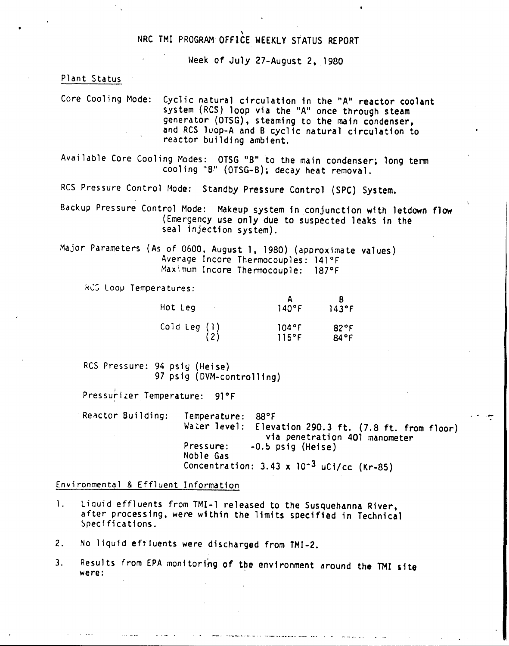## \ NRC TMI PROGRAM OFFICE WEEKLY STATUS REPORT

Week of July 27-August 2, 1980

Plant Status

Core Cooling Mode: Cyclic natural circulation in the "A" reactor coolant system (RCS) loop via the "A" once through steam generator (OTSG), steaming to the main condenser, and RCS loop-A and B cyclic natural circulation to reactor building ambient.

Available Core Cooling Modes: OTSG "B" to the main condenser; long term cooling "B" (OTSG-B); decay heat removal.

RCS Pressure Control Mode: Standby Pressure Control (SPC) System.

Backup Pressure Control Mode: Makeup system in conjunction with letdown flow (Emergency use only due to suspected leaks in the seal injection system).

Major Parameters (As of 0500. August 1, 1980) (approximate values) Average Incore Thermocouples: 141°F Maximum Incore Thermocouple: 187°F

kCS Loop Temperatures:

| Hot Leg                     | $140^{\circ}$ F | 143°F |
|-----------------------------|-----------------|-------|
| $\text{Cold Leg}(\text{1})$ | 104°F           | 82°F  |
| (2)                         | 115°F           | 84°F  |

RCS Pressure: 94 psiy (Heise) 97 psig (DVM-controlling)

Pressurizer Temperature: 91°F

Reactor Building: Temperature: 88°F Elevation 290.3 ft.  $(7.8 \text{ ft. from floor})$ via penetration 401 manometer Pressure: -0.5 psig (Heise) Noble Gas Concentration:  $3.43 \times 10^{-3}$  uCi/cc (Kr-85)

.•..

Environmental & Effluent Information

- 1. Liquid effluents from TMI-l released to the Susquehanna River, after processing. were within the limits specified in Technical Specifications.
- 2. No liquid effluents were discharged from TMI-2.
- 3. Results from EPA monitoring of the environment around the TMI site were: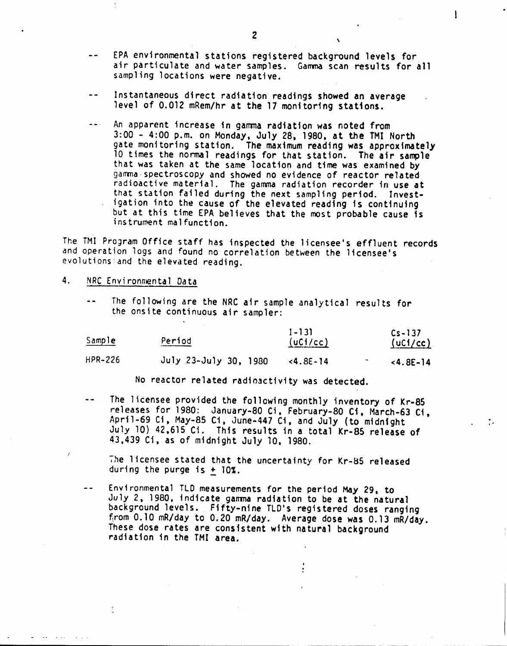- $\overline{a}$ EPA environmental stations registered background levels for air particulate and water samples. Gamma scan results for all sampling locations were negative.
- Instantaneous direct radiation readings showed an average level of 0.012 mRem/hr at the 17 monitoring stations.
- An apparent increase in gamma radiation was noted from  $\sim$   $\sim$   $\sim$ 3:00 - 4:00 p.m. on Monday, July 28, 1980, at the TMI North gate monitoring station. The maximum reading was approximately 10 times the normal readings *for* that station. The air sample that was taken at the same location and time was examined by gamma spectroscopy and showed no evidence of reactor related radioactive material. The gamma radiation recorder in use at that station failed during the next sampling period. Investigation into the cause of the elevated reading is continuing but at this time EPA believes that the most probable cause is instrument malfunction.

The TM! ProJram Office staff has inspected the licensee's effluent records and operation logs and found no correlation between the licensee's evolutions and the elevated reading.

- 4. NRC Environmental Data
	- $\ddot{\phantom{a}}$ The following are the NRC air sample analytical results for the onsite continuous air sampler:

| <u>Sample</u> | Period                | $1 - 131$<br>(uCl/cc) | $Cs - 137$<br>(UCi/cc) |
|---------------|-----------------------|-----------------------|------------------------|
| HPR-226       | July 23-July 30, 1980 | $< 4.8E - 14$         | $< 4.8E - 14$          |

No reactor related radioactivity was detected.

The licensee provided the following monthly inventory of Kr-85 releases for 1980: January-BO Ci, February-BO Ci, March-63 Ci, April-69 Ci, May-8S Ci, June-447 Ci, and July (to midnight July 10) 42,615 C1. This results in a total Kr-85 release of 43,439 Ci, as of midnight July 10, 19BO.

.<br>;

The licensee stated that the uncertainty for Kr-85 release<br>during the purge is <u>+</u> 10%.

Environmental TLO measurements for the period May 29. to  $- -$ July 2, *19BO,* indicate garrma radiation to be at the natural background levels. Fifty-nine TLD's registered doses ranging from 0.10 mR/day to 0.20 mR/day. Average dose was 0.13 mR/day. These dose rates are consistent with natural background radiation in the TMI area.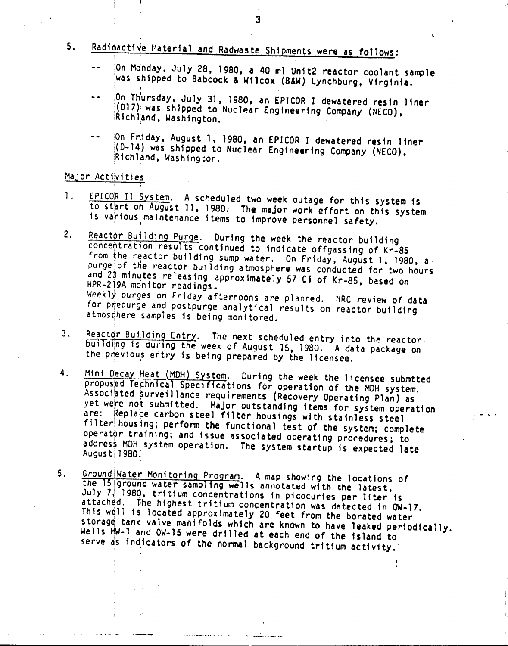$5.$ 

## Radioactive Material and Radwaste Shipments were as follows:

- iOn Monday, July 28, 1980, a 40 ml Unit2 reactor coolant sample was shipped to Babcock & Wilcox (B&W) Lynchburg, Virginia.
- ion Thursday, July 31, 1980, an EPICOR I dewatered resin liner  $- -$ (D17) was shipped to Nuclear Engineering Company (NECO), Richland, Washington.
- [On Friday, August 1, 1980, an EPICOR I dewatered resin liner  $(0-14)$  was shipped to Nuclear Engineering Company (NECO), Richland, Washington.

## Major Activities

- EPICOR II System. A scheduled two week outage for this system is 1. to start on August 11, 1980. The major work effort on this system is various maintenance items to improve personnel safety.
- Reactor Building Purge. During the week the reactor building  $2.$ concentration results continued to indicate offgassing of Kr-85 from the reactor building sump water. On Friday, August 1, 1980, a purge of the reactor building atmosphere was conducted for two hours and 23 minutes releasing approximately 57 Ci of Kr-85, based on HPR-219A monitor readings. Weekly purges on Friday afternoons are planned. NRC review of data for prepurge and postpurge analytical results on reactor building atmosphere samples is being monitored.
- Reactor Building Entry. The next scheduled entry into the reactor.  $3<sub>1</sub>$ building is during the week of August 15, 1980. A data package on the previous entry is being prepared by the licensee.
- Mini Decay Heat (MDH) System. During the week the licensee submtted  $4<sup>1</sup>$ proposed Technical Specifications for operation of the MDH system. Associated surveillance requirements (Recovery Operating Plan) as yet were not submitted. Major outstanding items for system operation are: Replace carbon steel filter housings with stainless steel filter housing; perform the functional test of the system; complete operator training; and issue associated operating procedures; to address MDH system operation. The system startup is expected late August 1980.
- Ground Water Monitoring Program. A map showing the locations of  $5.$ the 15 ground water sampling wells annotated with the latest, July 7, 1980, tritium concentrations in picocuries per liter is attached. The highest tritium concentration was detected in OW-17. This well is located approximately 20 feet from the borated water storage tank valve manifolds which are known to have leaked periodically. Wells MN-1 and OW-15 were drilled at each end of the island to serve as indicators of the normal background tritium activity.

 $\overline{\mathbf{3}}$